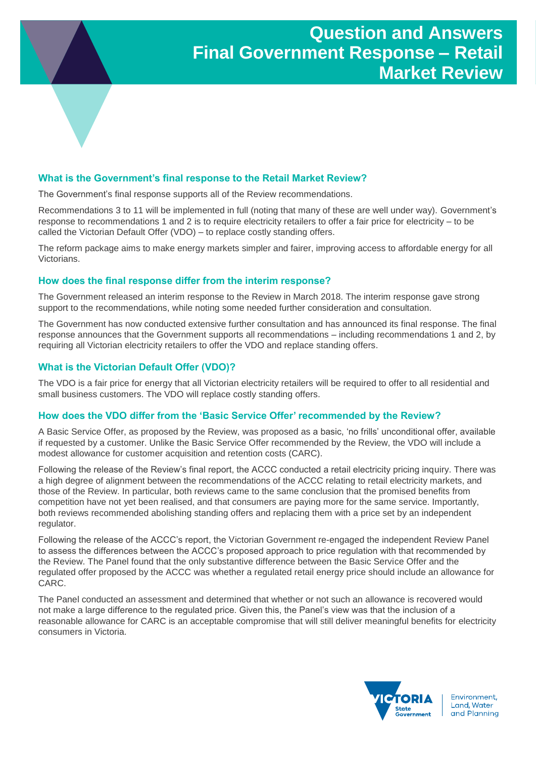# **What is the Government's final response to the Retail Market Review?**

The Government's final response supports all of the Review recommendations.

Recommendations 3 to 11 will be implemented in full (noting that many of these are well under way). Government's response to recommendations 1 and 2 is to require electricity retailers to offer a fair price for electricity – to be called the Victorian Default Offer (VDO) – to replace costly standing offers.

The reform package aims to make energy markets simpler and fairer, improving access to affordable energy for all **Victorians** 

# **How does the final response differ from the interim response?**

The Government released an interim response to the Review in March 2018. The interim response gave strong support to the recommendations, while noting some needed further consideration and consultation.

The Government has now conducted extensive further consultation and has announced its final response. The final response announces that the Government supports all recommendations – including recommendations 1 and 2, by requiring all Victorian electricity retailers to offer the VDO and replace standing offers.

# **What is the Victorian Default Offer (VDO)?**

The VDO is a fair price for energy that all Victorian electricity retailers will be required to offer to all residential and small business customers. The VDO will replace costly standing offers.

#### **How does the VDO differ from the 'Basic Service Offer' recommended by the Review?**

A Basic Service Offer, as proposed by the Review, was proposed as a basic, 'no frills' unconditional offer, available if requested by a customer. Unlike the Basic Service Offer recommended by the Review, the VDO will include a modest allowance for customer acquisition and retention costs (CARC).

Following the release of the Review's final report, the ACCC conducted a retail electricity pricing inquiry. There was a high degree of alignment between the recommendations of the ACCC relating to retail electricity markets, and those of the Review. In particular, both reviews came to the same conclusion that the promised benefits from competition have not yet been realised, and that consumers are paying more for the same service. Importantly, both reviews recommended abolishing standing offers and replacing them with a price set by an independent regulator.

Following the release of the ACCC's report, the Victorian Government re-engaged the independent Review Panel to assess the differences between the ACCC's proposed approach to price regulation with that recommended by the Review. The Panel found that the only substantive difference between the Basic Service Offer and the regulated offer proposed by the ACCC was whether a regulated retail energy price should include an allowance for CARC.

The Panel conducted an assessment and determined that whether or not such an allowance is recovered would not make a large difference to the regulated price. Given this, the Panel's view was that the inclusion of a reasonable allowance for CARC is an acceptable compromise that will still deliver meaningful benefits for electricity consumers in Victoria.



Environment, Land, Water and Planning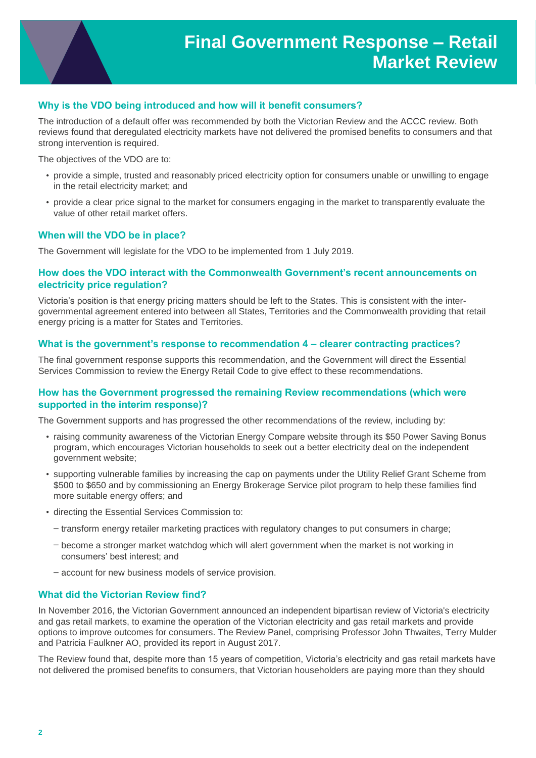# **Why is the VDO being introduced and how will it benefit consumers?**

The introduction of a default offer was recommended by both the Victorian Review and the ACCC review. Both reviews found that deregulated electricity markets have not delivered the promised benefits to consumers and that strong intervention is required.

The objectives of the VDO are to:

- provide a simple, trusted and reasonably priced electricity option for consumers unable or unwilling to engage in the retail electricity market; and
- provide a clear price signal to the market for consumers engaging in the market to transparently evaluate the value of other retail market offers.

# **When will the VDO be in place?**

The Government will legislate for the VDO to be implemented from 1 July 2019.

# **How does the VDO interact with the Commonwealth Government's recent announcements on electricity price regulation?**

Victoria's position is that energy pricing matters should be left to the States. This is consistent with the intergovernmental agreement entered into between all States, Territories and the Commonwealth providing that retail energy pricing is a matter for States and Territories.

#### **What is the government's response to recommendation 4 – clearer contracting practices?**

The final government response supports this recommendation, and the Government will direct the Essential Services Commission to review the Energy Retail Code to give effect to these recommendations.

#### **How has the Government progressed the remaining Review recommendations (which were supported in the interim response)?**

The Government supports and has progressed the other recommendations of the review, including by:

- raising community awareness of the Victorian Energy Compare website through its \$50 Power Saving Bonus program, which encourages Victorian households to seek out a better electricity deal on the independent government website;
- supporting vulnerable families by increasing the cap on payments under the Utility Relief Grant Scheme from \$500 to \$650 and by commissioning an Energy Brokerage Service pilot program to help these families find more suitable energy offers; and
- directing the Essential Services Commission to:
	- transform energy retailer marketing practices with regulatory changes to put consumers in charge;
	- become a stronger market watchdog which will alert government when the market is not working in consumers' best interest; and
	- account for new business models of service provision.

#### **What did the Victorian Review find?**

In November 2016, the Victorian Government announced an independent bipartisan review of Victoria's electricity and gas retail markets, to examine the operation of the Victorian electricity and gas retail markets and provide options to improve outcomes for consumers. The Review Panel, comprising Professor John Thwaites, Terry Mulder and Patricia Faulkner AO, provided its report in August 2017.

The Review found that, despite more than 15 years of competition, Victoria's electricity and gas retail markets have not delivered the promised benefits to consumers, that Victorian householders are paying more than they should